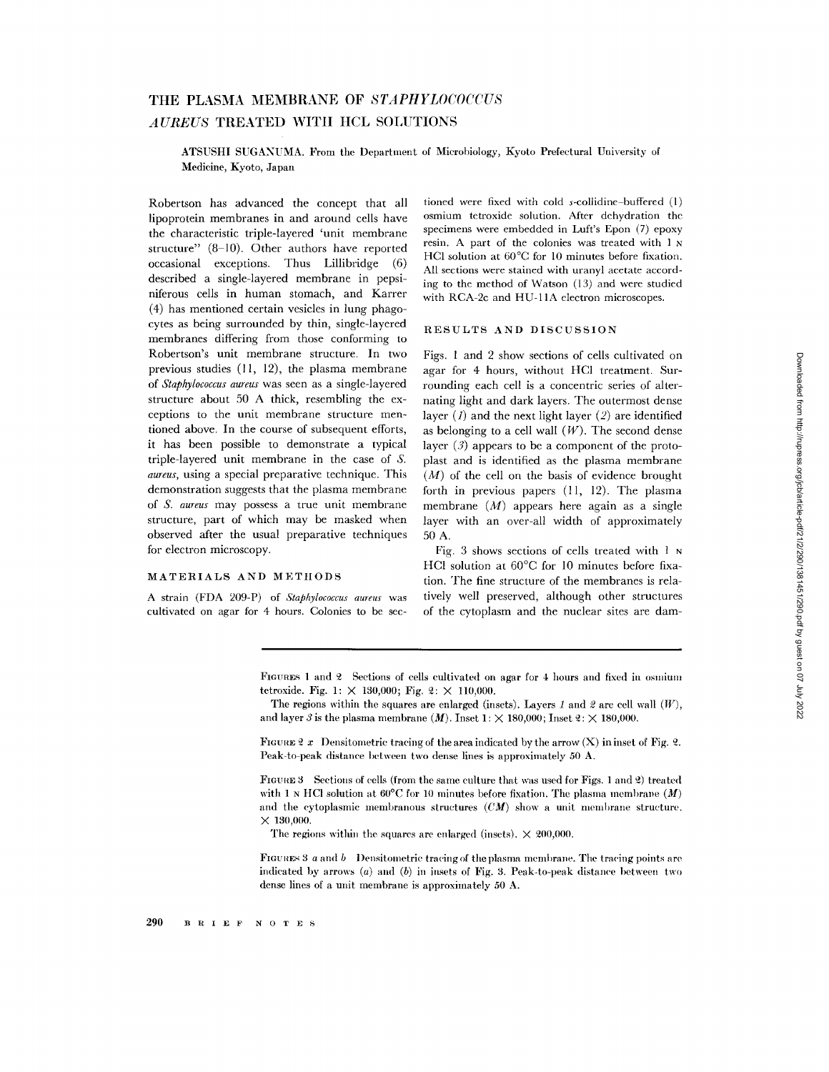## **THE PLASMA MEMBRANE OF** *STAPHYLOCOCCUS AUREUS* **TREATED WITII HCL SOLUTIONS**

ATSUSHI SUGANUMA. From the Department of Microbiology, Kyoto Prefectural University of Medicine, Kyoto, Japan

Robertson has advanced the concept that all lipoprotein membranes in and around cells have the characteristic triple-layered 'unit membrane structure"  $(8-10)$ . Other authors have reported occasional exceptions. Thus Lillibridge (6) described a single-layered membrane in pepsiniferous cells in human stomach, and Karrer (4) has mentioned certain vesicles in lung phagocytes as being surrounded by thin, single-layered membranes differing from those conforming to Robertson's unit membrane structure. In two previous studies (11, 12), the plasma membrane of *Staphylococcus aureus* was seen as a single-layered structure about 50 A thick, resembling the exceptions to the unit membrane structure mentioned above. In the course of subsequent efforts, it has been possible to demonstrate a typical triple-layered unit membrane in the case of S. *aureus,* using a special preparative technique. This demonstration suggests that the plasma membrane of *S. aureus* may possess a true unit membrane structure, part of which may be masked when observed after the usual preparative techniques for electron microscopy.

## MATERIALS AND METIIODS

A strain (FDA 209-P) of *Staphylococcus aureus* was cultivated on agar for 4 hours. Colonies to be seetioned were fixed with cold s-collidine buffered (1) osmium tetroxide solution. After dehydration the specimens were embedded in Luft's Epon (7) epoxy resin. A part of the colonies was treated with 1 N HC1 solution at 60°C for 10 minutes before fixation. All sections were stained with uranyl acetate according to the method of Watson (13) and were studied with RCA-2c and HU-11A electron microscopes.

## RESULTS AND DISCUSSION

Figs. 1 and 2 show sections of cells cultivated on agar for 4 hours, without HC1 treatment. Surrounding each cell is a concentric series of alternating light and dark layers. The outermost dense layer  $(1)$  and the next light layer  $(2)$  are identified as belonging to a cell wall  $(W)$ . The second dense layer (3) appears to be a component of the protoplast and is identified as the plasma membrane  $(M)$  of the cell on the basis of evidence brought forth in previous papers (11, 12). The plasma membrane  $(M)$  appears here again as a single layer with an over-all width of approximately 50 A.

Fig. 3 shows sections of cells treated with 1 N HC1 solution at 60°C for 10 minutes before fixation. The fine structure of the membranes is relatively well preserved, although other structures of the cytoplasm and the nuclear sites are dam-

FIGURES 1 and 2 Sections of cells cultivated on agar for 4 hours and fixed in osmium tetroxide. Fig. 1:  $\times$  130,000; Fig. 2:  $\times$  110,000.

The regions within the squares are enlarged (insets). Layers 1 and 2 are cell wall  $(W)$ , and layer 3 is the plasma membrane  $(M)$ . Inset 1:  $\times$  180,000; Inset 2:  $\times$  180,000.

FIGURE 2 x Densitometric tracing of the area indicated by the arrow  $(X)$  in inset of Fig. 2. Peak-to-peak distance between two dense lines is approximately 50 A.

FIGURE 3 Sections of cells (from the same culture that was used for Figs. 1 and 2) treated with 1 N HCl solution at  $60^{\circ}$ C for 10 minutes before fixation. The plasma membrane (M) and the cytoplasmic membranous structures  $(CM)$  show a unit membrane structure.  $\times$  130,000.

The regions within the squares are enlarged (insets).  $\times$  200,000.

FIGURES 3  $a$  and  $b$  Densitometric tracing of the plasma membrane. The tracing points are indicated by arrows  $(a)$  and  $(b)$  in insets of Fig. 3. Peak-to-peak distance between two dense lines of a unit membrane is approximately 50 A.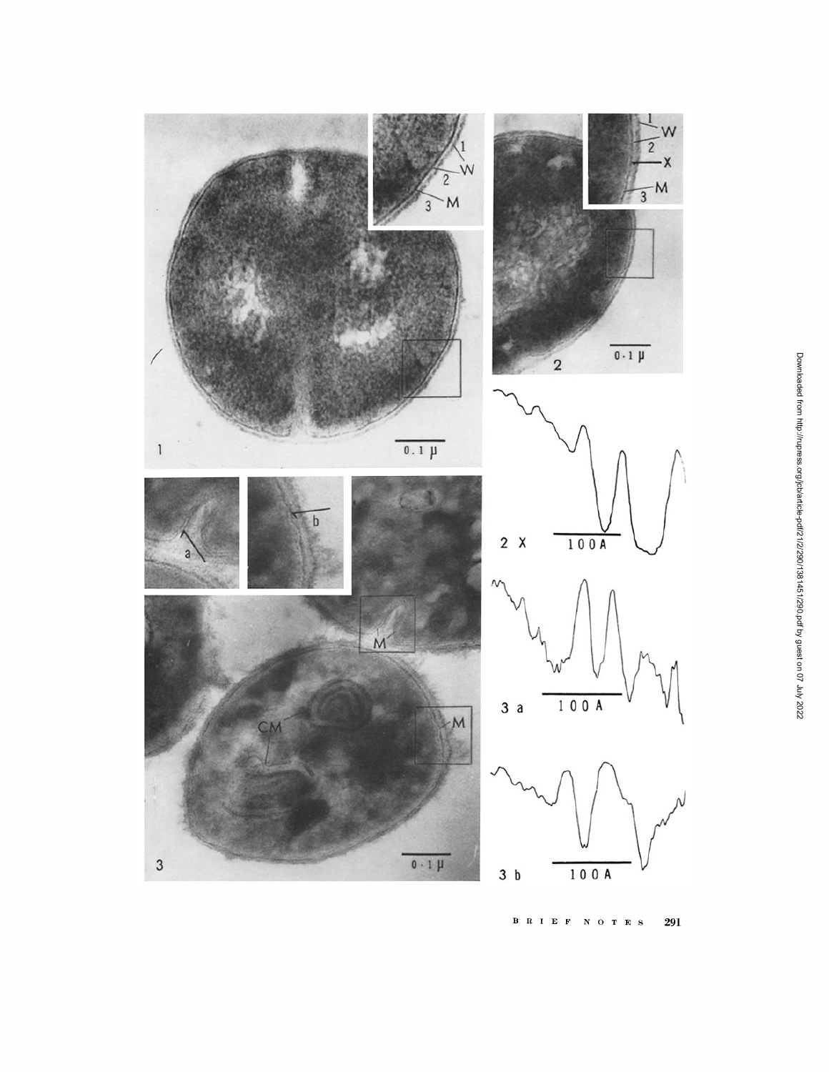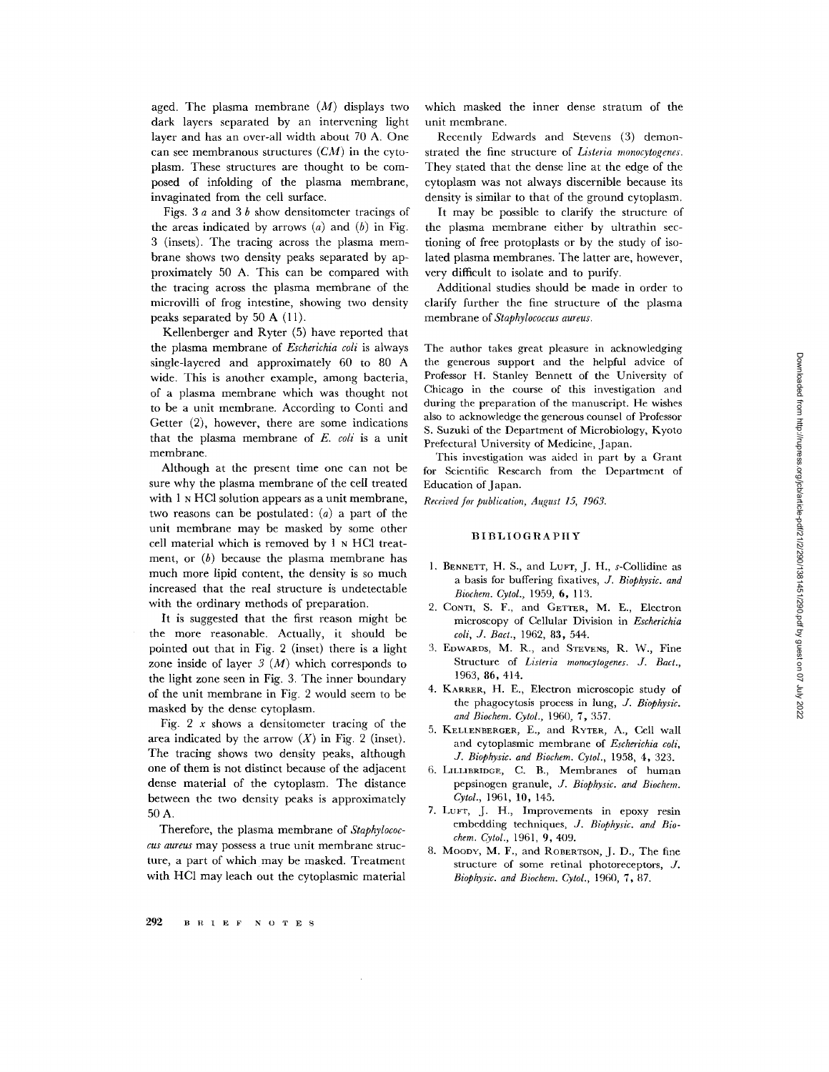aged. The plasma membrane  $(M)$  displays two dark layers separated by an intervening light layer and has an over-all width about 70 A. One can see membranous structures *(CM)* in the cytoplasm. These structures are thought to be composed of infolding of the plasma membrane, invaginated from the cell surface.

Figs. 3 a and 3 b show densitometer tracings of the areas indicated by arrows  $(a)$  and  $(b)$  in Fig. 3 (insets). The tracing across the plasma membrane shows two density peaks separated by approximately 50 A. This can be compared with the tracing across the plasma membrane of the microvilli of frog intestine, showing two density peaks separated by 50 A (11).

Kellenberger and Ryter (5) have reported that the plasma membrane of *Escherichia coli* is always single-layered and approximately 60 to 80 A wide. This is another example, among bacteria, of a plasma membrane which was thought not to be a unit membrane. According to Conti and Getter (2), however, there are some indications that the plasma membrane of *E. coil* is a unit membrane.

Although at the present time one can not be sure why the plasma membrane of the cell treated with  $1 \times$  HCl solution appears as a unit membrane, two reasons can be postulated:  $(a)$  a part of the unit membrane may be masked by some other cell material which is removed by 1 n HC1 treatment, or  $(b)$  because the plasma membrane has much more lipid content, the density is so much increased that the real structure is undetectable with the ordinary methods of preparation.

It is suggested that the first reason might be the more reasonable. Actually, it should be pointed out that in Fig. 2 (inset) there is a light zone inside of layer  $3 \ (M)$  which corresponds to the light zone seen in Fig. 3. The inner boundary of the unit membrane in Fig. 2 would seem to be masked by the dense cytoplasm.

Fig. 2  $x$  shows a densitemeter tracing of the area indicated by the arrow  $(X)$  in Fig. 2 (inset). The tracing shows two density peaks, although one of them is not distinct because of the adjacent dense material of the cytoplasm. The distance between the two density peaks is approximately 50 A.

Therefore, the plasma membrane of *Staphylococcus aureus* may possess a true unit membrane structure, a part of which may be masked. Treatment with HC1 may leach out the cytoplasmic material which masked the inner dense stratum of the unit membrane.

Recently Edwards and Stevens (3) demonstrated the fine structure of *Listeria monocytogenes.*  They stated that the dense line at the edge of the cytoplasm was not always discernible because its density is similar to that of the ground cytoplasm.

It may be possible to clarify the structure of the plasma membrane either by ultrathin sectioning of free protoplasts or by the study of isolated plasma membranes. The latter are, however, very difficult to isolate and to purify.

Additional studies should be made in order to clarify further the fine structure of the plasma membrane of *Staphylococcus aureus.* 

The author takes great pleasure in acknowledging the generous support and the helpful advice of Professor H. Stanley Bennett of the University of Chicago in the course of this investigation and during the preparation of the manuscript. He wishes also to acknowledge the generous counsel of Professor S. Suzuki of the Department of Microbiology, Kyoto Prefectural University of Medicine, Japan.

This investigation was aided in part by a Grant for Scientific Research from the Department of Education of Japan.

*Received for publication, August 15, 1963.* 

## BIBLIOGRAPIIY

- l. BENNETT, H. S., and LUFT, J. H., s-Collidine as a basis for buffering fixatives, *J. Biophysic. and Biochem. Cylol.,* 1959, 6, 113.
- 2. CONTI, S. F., and GETTER, M. E., Electron microscopy of Cellular Division in *Escherichia coli, .1. Bact.,* 1962, 83, 544.
- 3. EDWARDS, M. R., and STEVENS, k. W., Fine Structure of *Listeria monocytogenes. J. Bact.,*  1963, 86,414.
- 4. KARRER, H. E., Electron microscopic study of the phagocytosis process in lung, *J. Biophysic. and Biochem. Cytol.,* 1960, 7,357.
- 5. KELLENBERGER, E., and RYTER, A., Cell wall and cytoplasmic membrane of *Escherichia colt, J. Biophysic. and Biochem. Cygol.,* 1958, 4, 323.
- 6. LILLIBRIDGE, C. B., Membranes of human pepsinogen granule, J. *Biophysic. and Biochem. Cytol.,* 1961, 10, 145.
- 7. LUFT, J. H., Improvements in epoxy resin embedding techniques, *J. Biophysic. and Biochem. Cytol.,* 1961, 9,409.
- 8. Moony, M. F., and ROBERTSON, J. D., The fine structure of some retinal photoreceptors, Y. *Biophysic. and Biochem. Cytol.,* 1960, 7, 87.

**292 B it i E f N O T E S**